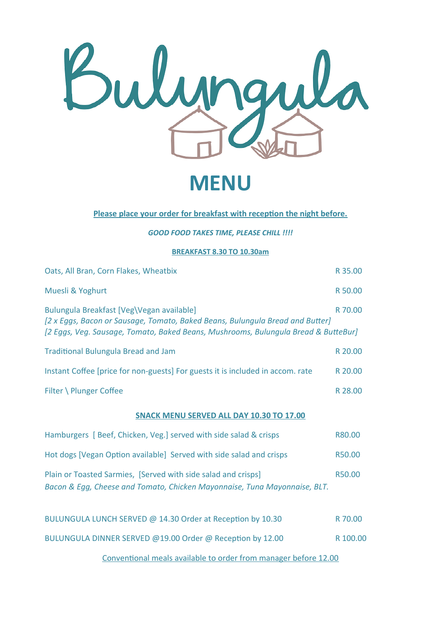

**MENU**

#### **Please place your order for breakfast with reception the night before.**

#### *GOOD FOOD TAKES TIME, PLEASE CHILL !!!!*

#### **BREAKFAST 8.30 TO 10.30am**

| Oats, All Bran, Corn Flakes, Wheatbix                                                                                      | R 35.00 |  |
|----------------------------------------------------------------------------------------------------------------------------|---------|--|
| Muesli & Yoghurt                                                                                                           | R 50.00 |  |
| Bulungula Breakfast [Veg\Vegan available]<br>[2 x Eggs, Bacon or Sausage, Tomato, Baked Beans, Bulungula Bread and Butter] |         |  |
| [2 Eggs, Veg. Sausage, Tomato, Baked Beans, Mushrooms, Bulungula Bread & ButteBur]                                         |         |  |
| <b>Traditional Bulungula Bread and Jam</b>                                                                                 | R 20.00 |  |
| Instant Coffee [price for non-guests] For guests it is included in accom. rate                                             | R 20.00 |  |
| Filter \ Plunger Coffee                                                                                                    | R 28.00 |  |
| SNACK MENU SERVED ALL DAY 10.30 TO 17.00                                                                                   |         |  |
| Hamburgers [ Beef, Chicken, Veg.] served with side salad & crisps                                                          | R80.00  |  |
| Hot dogs [Vegan Option available] Served with side salad and crisps                                                        | R50.00  |  |
| Plain or Toasted Sarmies, [Served with side salad and crisps]                                                              | R50.00  |  |

*Bacon & Egg, Cheese and Tomato, Chicken Mayonnaise, Tuna Mayonnaise, BLT.*

| BULUNGULA LUNCH SERVED @ 14.30 Order at Reception by 10.30 | R 70.00  |
|------------------------------------------------------------|----------|
| BULUNGULA DINNER SERVED @19.00 Order @ Reception by 12.00  | R 100.00 |

Conventional meals available to order from manager before 12.00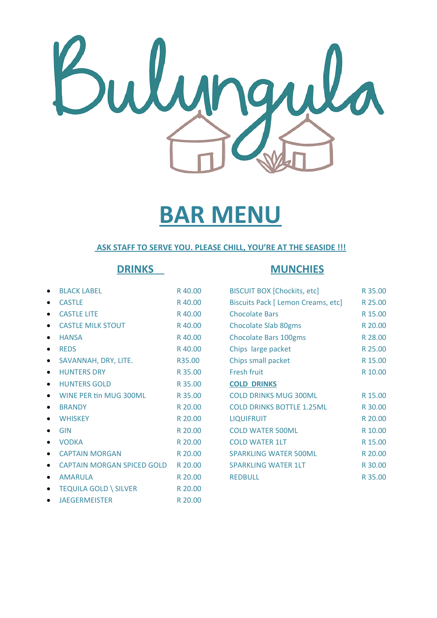

# **BAR MENU**

#### **ASK STAFF TO SERVE YOU. PLEASE CHILL, YOU'RE AT THE SEASIDE !!!**

|           | <b>BLACK LABEL</b>           | R40.00  | <b>BISCUIT BOX [</b>   |
|-----------|------------------------------|---------|------------------------|
|           | <b>CASTLE</b>                | R40.00  | <b>Biscuits Pack [</b> |
|           | <b>CASTLE LITE</b>           | R40.00  | <b>Chocolate Bars</b>  |
| $\bullet$ | <b>CASTLE MILK STOUT</b>     | R40.00  | <b>Chocolate Slab</b>  |
| $\bullet$ | <b>HANSA</b>                 | R40.00  | <b>Chocolate Bars</b>  |
| $\bullet$ | <b>REDS</b>                  | R40.00  | Chips large pa         |
| $\bullet$ | SAVANNAH, DRY, LITE.         | R35.00  | Chips small pa         |
| $\bullet$ | <b>HUNTERS DRY</b>           | R 35.00 | <b>Fresh fruit</b>     |
| $\bullet$ | <b>HUNTERS GOLD</b>          | R 35.00 | <b>COLD DRINKS</b>     |
| $\bullet$ | WINE PER tin MUG 300ML       | R 35.00 | <b>COLD DRINKS</b>     |
| $\bullet$ | <b>BRANDY</b>                | R 20.00 | <b>COLD DRINKS</b>     |
|           | <b>WHISKEY</b>               | R 20.00 | <b>LIQUIFRUIT</b>      |
|           | <b>GIN</b>                   | R 20.00 | <b>COLD WATER!</b>     |
|           | <b>VODKA</b>                 | R 20.00 | <b>COLD WATER:</b>     |
|           | <b>CAPTAIN MORGAN</b>        | R 20.00 | <b>SPARKLING WA</b>    |
| $\bullet$ | CAPTAIN MORGAN SPICED GOLD   | R 20.00 | <b>SPARKLING WA</b>    |
| $\bullet$ | <b>AMARULA</b>               | R 20.00 | <b>REDBULL</b>         |
| $\bullet$ | <b>TEQUILA GOLD \ SILVER</b> | R 20.00 |                        |
|           | <b>JAEGERMEISTER</b>         | R 20.00 |                        |

### **DRINKS** MUNCHIES

| $\bullet$ | <b>BLACK LABEL</b>                | R40.00  | <b>BISCUIT BOX [Chockits, etc]</b> | R 35.00 |
|-----------|-----------------------------------|---------|------------------------------------|---------|
| $\bullet$ | <b>CASTLE</b>                     | R40.00  | Biscuits Pack [ Lemon Creams, etc] | R 25.00 |
|           | <b>CASTLE LITE</b>                | R40.00  | <b>Chocolate Bars</b>              | R 15.00 |
| $\bullet$ | <b>CASTLE MILK STOUT</b>          | R 40.00 | Chocolate Slab 80gms               | R 20.00 |
| $\bullet$ | <b>HANSA</b>                      | R 40.00 | <b>Chocolate Bars 100gms</b>       | R 28.00 |
| $\bullet$ | <b>REDS</b>                       | R 40.00 | Chips large packet                 | R 25.00 |
| $\bullet$ | SAVANNAH, DRY, LITE.              | R35.00  | Chips small packet                 | R 15.00 |
| $\bullet$ | <b>HUNTERS DRY</b>                | R 35.00 | Fresh fruit                        | R 10.00 |
| $\bullet$ | <b>HUNTERS GOLD</b>               | R 35.00 | <b>COLD DRINKS</b>                 |         |
| $\bullet$ | WINE PER tin MUG 300ML            | R 35.00 | <b>COLD DRINKS MUG 300ML</b>       | R 15.00 |
| $\bullet$ | <b>BRANDY</b>                     | R 20.00 | <b>COLD DRINKS BOTTLE 1.25ML</b>   | R 30.00 |
| $\bullet$ | <b>WHISKEY</b>                    | R 20.00 | <b>LIQUIFRUIT</b>                  | R 20.00 |
| $\bullet$ | <b>GIN</b>                        | R 20.00 | <b>COLD WATER 500ML</b>            | R 10.00 |
| $\bullet$ | <b>VODKA</b>                      | R 20.00 | <b>COLD WATER 1LT</b>              | R 15.00 |
| $\bullet$ | <b>CAPTAIN MORGAN</b>             | R 20.00 | <b>SPARKLING WATER 500ML</b>       | R 20.00 |
| $\bullet$ | <b>CAPTAIN MORGAN SPICED GOLD</b> | R 20.00 | <b>SPARKLING WATER 1LT</b>         | R 30.00 |
| $\bullet$ | <b>AMARULA</b>                    | R 20.00 | <b>REDBULL</b>                     | R 35.00 |
|           |                                   |         |                                    |         |